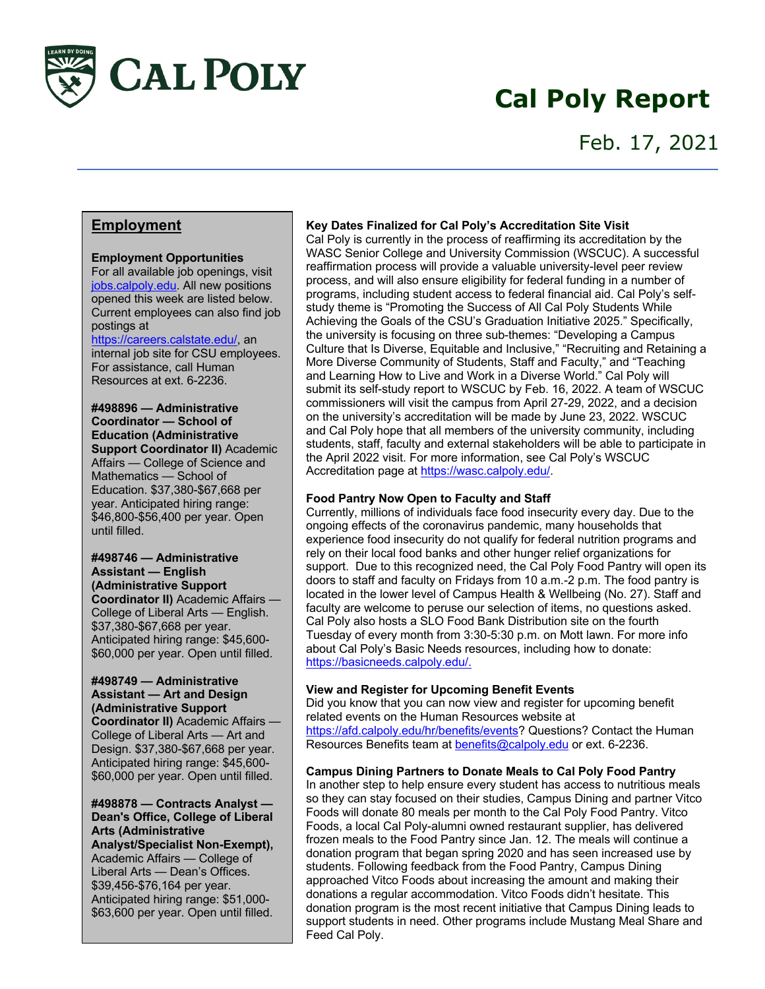

# **Cal Poly Report**

## Feb. 17, 2021

## **Employment**

## **Employment Opportunities**

For all available job openings, visit jobs.calpoly.edu. All new positions opened this week are listed below. Current employees can also find job postings at

#### https://careers.calstate.edu/, an

internal job site for CSU employees. For assistance, call Human Resources at ext. 6-2236.

**#498896 — Administrative Coordinator — School of Education (Administrative Support Coordinator II)** Academic Affairs — College of Science and Mathematics — School of Education. \$37,380-\$67,668 per year. Anticipated hiring range: \$46,800-\$56,400 per year. Open until filled.

**#498746 — Administrative Assistant — English (Administrative Support Coordinator II)** Academic Affairs — College of Liberal Arts — English. \$37,380-\$67,668 per year. Anticipated hiring range: \$45,600- \$60,000 per year. Open until filled.

## **#498749 — Administrative Assistant — Art and Design (Administrative Support Coordinator II)** Academic Affairs — College of Liberal Arts — Art and Design. \$37,380-\$67,668 per year.

Anticipated hiring range: \$45,600- \$60,000 per year. Open until filled.

#### **#498878 — Contracts Analyst — Dean's Office, College of Liberal Arts (Administrative Analyst/Specialist Non-Exempt),**

Academic Affairs — College of Liberal Arts — Dean's Offices. \$39,456-\$76,164 per year. Anticipated hiring range: \$51,000- \$63,600 per year. Open until filled.

### **Key Dates Finalized for Cal Poly's Accreditation Site Visit**

Cal Poly is currently in the process of reaffirming its accreditation by the WASC Senior College and University Commission (WSCUC). A successful reaffirmation process will provide a valuable university-level peer review process, and will also ensure eligibility for federal funding in a number of programs, including student access to federal financial aid. Cal Poly's selfstudy theme is "Promoting the Success of All Cal Poly Students While Achieving the Goals of the CSU's Graduation Initiative 2025." Specifically, the university is focusing on three sub-themes: "Developing a Campus Culture that Is Diverse, Equitable and Inclusive," "Recruiting and Retaining a More Diverse Community of Students, Staff and Faculty," and "Teaching and Learning How to Live and Work in a Diverse World." Cal Poly will submit its self-study report to WSCUC by Feb. 16, 2022. A team of WSCUC commissioners will visit the campus from April 27-29, 2022, and a decision on the university's accreditation will be made by June 23, 2022. WSCUC and Cal Poly hope that all members of the university community, including students, staff, faculty and external stakeholders will be able to participate in the April 2022 visit. For more information, see Cal Poly's WSCUC Accreditation page at https://wasc.calpoly.edu/.

## **Food Pantry Now Open to Faculty and Staff**

Currently, millions of individuals face food insecurity every day. Due to the ongoing effects of the coronavirus pandemic, many households that experience food insecurity do not qualify for federal nutrition programs and rely on their local food banks and other hunger relief organizations for support. Due to this recognized need, the Cal Poly Food Pantry will open its doors to staff and faculty on Fridays from 10 a.m.-2 p.m. The food pantry is located in the lower level of Campus Health & Wellbeing (No. 27). Staff and faculty are welcome to peruse our selection of items, no questions asked. Cal Poly also hosts a SLO Food Bank Distribution site on the fourth Tuesday of every month from 3:30-5:30 p.m. on Mott lawn. For more info about Cal Poly's Basic Needs resources, including how to donate: https://basicneeds.calpoly.edu/.

## **View and Register for Upcoming Benefit Events**

Did you know that you can now view and register for upcoming benefit related events on the Human Resources website at https://afd.calpoly.edu/hr/benefits/events? Questions? Contact the Human Resources Benefits team at benefits@calpoly.edu or ext. 6-2236.

## **Campus Dining Partners to Donate Meals to Cal Poly Food Pantry**

In another step to help ensure every student has access to nutritious meals so they can stay focused on their studies, Campus Dining and partner Vitco Foods will donate 80 meals per month to the Cal Poly Food Pantry. Vitco Foods, a local Cal Poly-alumni owned restaurant supplier, has delivered frozen meals to the Food Pantry since Jan. 12. The meals will continue a donation program that began spring 2020 and has seen increased use by students. Following feedback from the Food Pantry, Campus Dining approached Vitco Foods about increasing the amount and making their donations a regular accommodation. Vitco Foods didn't hesitate. This donation program is the most recent initiative that Campus Dining leads to support students in need. Other programs include Mustang Meal Share and Feed Cal Poly.